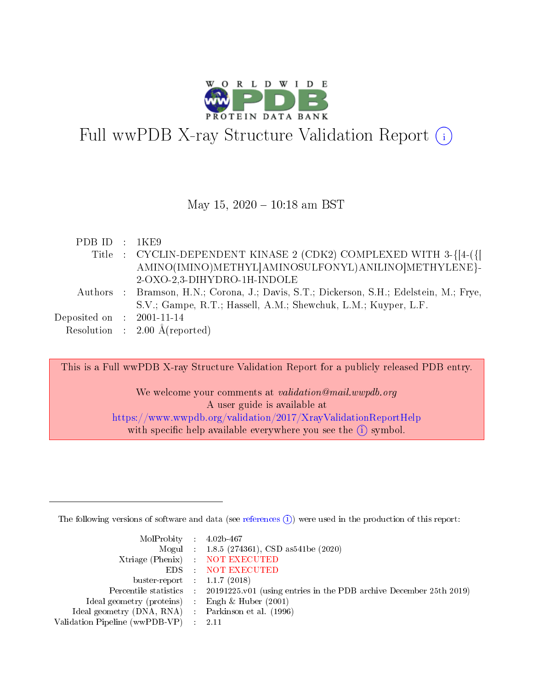

# Full wwPDB X-ray Structure Validation Report (i)

#### May 15,  $2020 - 10:18$  am BST

| PDBID : 1KE9                |                                                                                         |
|-----------------------------|-----------------------------------------------------------------------------------------|
|                             | Title : CYCLIN-DEPENDENT KINASE 2 (CDK2) COMPLEXED WITH 3-{[4-({[                       |
|                             | AMINO(IMINO)METHYL AMINOSULFONYL)ANILINO METHYLENE}-                                    |
|                             | 2-OXO-2,3-DIHYDRO-1H-INDOLE                                                             |
|                             | Authors : Bramson, H.N.; Corona, J.; Davis, S.T.; Dickerson, S.H.; Edelstein, M.; Frye, |
|                             | S.V.; Gampe, R.T.; Hassell, A.M.; Shewchuk, L.M.; Kuyper, L.F.                          |
| Deposited on : $2001-11-14$ |                                                                                         |
|                             | Resolution : $2.00 \text{ Å}$ (reported)                                                |

This is a Full wwPDB X-ray Structure Validation Report for a publicly released PDB entry.

We welcome your comments at validation@mail.wwpdb.org A user guide is available at <https://www.wwpdb.org/validation/2017/XrayValidationReportHelp> with specific help available everywhere you see the  $(i)$  symbol.

The following versions of software and data (see [references](https://www.wwpdb.org/validation/2017/XrayValidationReportHelp#references)  $(i)$ ) were used in the production of this report:

| $MolProbability$ 4.02b-467                          |                                                                                            |
|-----------------------------------------------------|--------------------------------------------------------------------------------------------|
|                                                     | Mogul : 1.8.5 (274361), CSD as 541be (2020)                                                |
|                                                     | Xtriage (Phenix) NOT EXECUTED                                                              |
|                                                     | EDS : NOT EXECUTED                                                                         |
| buster-report : $1.1.7(2018)$                       |                                                                                            |
|                                                     | Percentile statistics : 20191225.v01 (using entries in the PDB archive December 25th 2019) |
| Ideal geometry (proteins) : Engh $\&$ Huber (2001)  |                                                                                            |
| Ideal geometry (DNA, RNA) : Parkinson et al. (1996) |                                                                                            |
| Validation Pipeline (wwPDB-VP)                      | -2.11                                                                                      |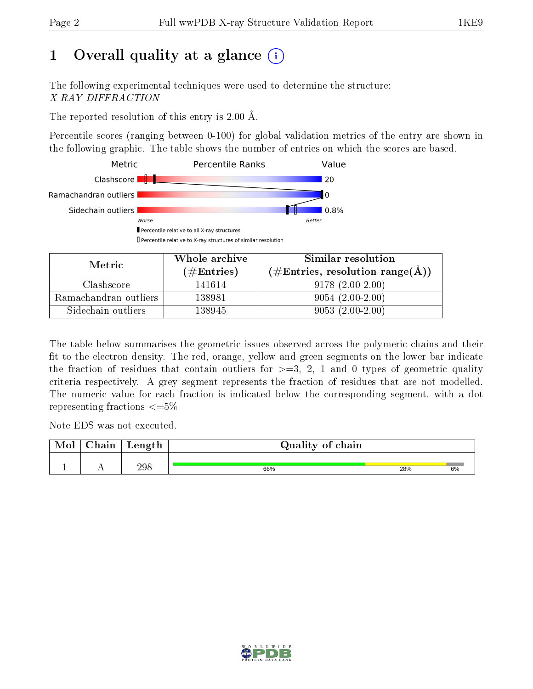# 1 [O](https://www.wwpdb.org/validation/2017/XrayValidationReportHelp#overall_quality)verall quality at a glance  $(i)$

The following experimental techniques were used to determine the structure: X-RAY DIFFRACTION

The reported resolution of this entry is 2.00 Å.

Percentile scores (ranging between 0-100) for global validation metrics of the entry are shown in the following graphic. The table shows the number of entries on which the scores are based.



| Metric                | Whole archive       | Similar resolution                                       |
|-----------------------|---------------------|----------------------------------------------------------|
|                       | (# $\rm{Entries}$ ) | $(\#\text{Entries}, \text{resolution range}(\text{\AA})$ |
| Clashscore            | 141614              | $9178(2.00-2.00)$                                        |
| Ramachandran outliers | 138981              | $9054(2.00-2.00)$                                        |
| Sidechain outliers    | 138945              | $9053(2.00-2.00)$                                        |

The table below summarises the geometric issues observed across the polymeric chains and their fit to the electron density. The red, orange, yellow and green segments on the lower bar indicate the fraction of residues that contain outliers for  $\geq=3$ , 2, 1 and 0 types of geometric quality criteria respectively. A grey segment represents the fraction of residues that are not modelled. The numeric value for each fraction is indicated below the corresponding segment, with a dot representing fractions  $\leq=5\%$ 

Note EDS was not executed.

| Mol | $\cap$ hain | Length | Quality of chain |     |    |
|-----|-------------|--------|------------------|-----|----|
|     |             | 298    | 66%              | 28% | 6% |

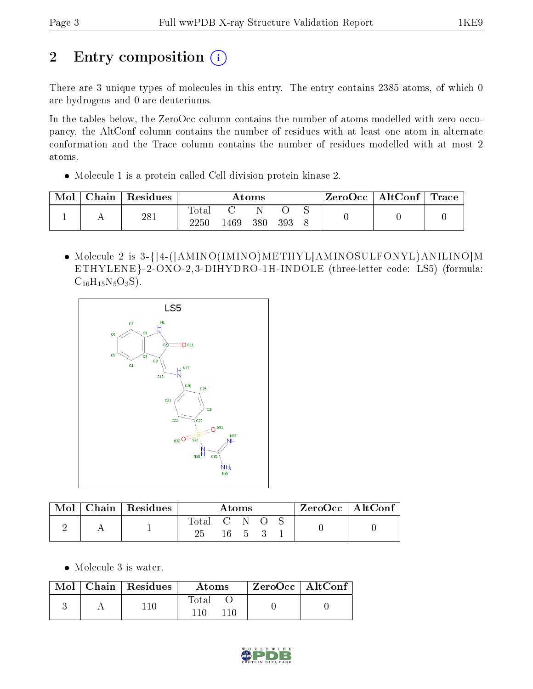# 2 Entry composition (i)

There are 3 unique types of molecules in this entry. The entry contains 2385 atoms, of which 0 are hydrogens and 0 are deuteriums.

In the tables below, the ZeroOcc column contains the number of atoms modelled with zero occupancy, the AltConf column contains the number of residues with at least one atom in alternate conformation and the Trace column contains the number of residues modelled with at most 2 atoms.

Molecule 1 is a protein called Cell division protein kinase 2.

| Mol | Chain | ' Residues |                            |     | Atoms |     |  | $\rm{ZeroOcc}$   $\rm{AltConf}$   $\rm{Trace}$ |  |
|-----|-------|------------|----------------------------|-----|-------|-----|--|------------------------------------------------|--|
|     |       | 281        | $\text{Total}$<br>$2250\,$ | 469 | 380   | 393 |  |                                                |  |

• Molecule 2 is 3-{[4-([AMINO(IMINO)METHYL]AMINOSULFONYL)ANILINO]M ETHYLENE}-2-OXO-2,3-DIHYDRO-1H-INDOLE (three-letter code: LS5) (formula:  $C_{16}H_{15}N_5O_3S$ ).



| Mol | Chain   Residues | Atoms |              |   | $ZeroOcc \mid AltConf$ |  |  |
|-----|------------------|-------|--------------|---|------------------------|--|--|
|     |                  | Total | I CON<br>16. | 5 |                        |  |  |

• Molecule 3 is water.

|  | $\blacksquare$ Mol $\vert$ Chain $\vert$ Residues | Atoms | ZeroOcc   AltConf |  |
|--|---------------------------------------------------|-------|-------------------|--|
|  | 110                                               | Total |                   |  |

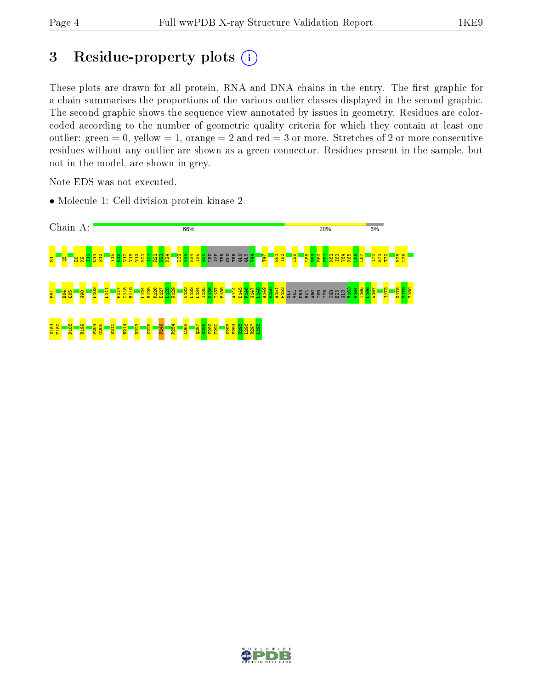# 3 Residue-property plots  $(i)$

These plots are drawn for all protein, RNA and DNA chains in the entry. The first graphic for a chain summarises the proportions of the various outlier classes displayed in the second graphic. The second graphic shows the sequence view annotated by issues in geometry. Residues are colorcoded according to the number of geometric quality criteria for which they contain at least one outlier: green  $= 0$ , yellow  $= 1$ , orange  $= 2$  and red  $= 3$  or more. Stretches of 2 or more consecutive residues without any outlier are shown as a green connector. Residues present in the sample, but not in the model, are shown in grey.

Note EDS was not executed.

• Molecule 1: Cell division protein kinase 2



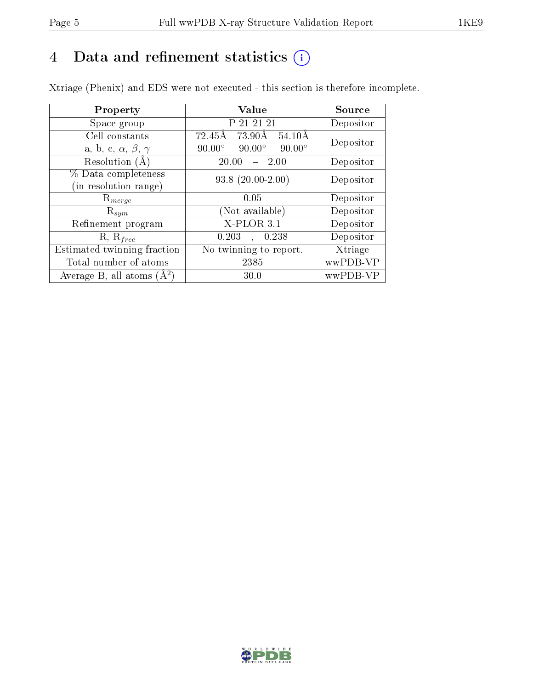# 4 Data and refinement statistics  $(i)$

Xtriage (Phenix) and EDS were not executed - this section is therefore incomplete.

| Property                               | Value                                           | Source    |  |
|----------------------------------------|-------------------------------------------------|-----------|--|
| Space group                            | P 21 21 21                                      | Depositor |  |
| Cell constants                         | 72.45Å<br>73.90Å 54.10Å                         | Depositor |  |
| a, b, c, $\alpha$ , $\beta$ , $\gamma$ | $90.00^\circ$<br>$90.00^\circ$<br>$90.00^\circ$ |           |  |
| Resolution $(A)$                       | 20.00<br>$-2.00$                                | Depositor |  |
| % Data completeness                    | $93.8(20.00-2.00)$                              | Depositor |  |
| (in resolution range)                  |                                                 |           |  |
| $\mathrm{R}_{merge}$                   | 0.05                                            | Depositor |  |
| $\mathrm{R}_{sym}$                     | (Not available)                                 | Depositor |  |
| Refinement program                     | $X-PLOR$ 3.1                                    | Depositor |  |
| $R, R_{free}$                          | 0.203<br>0.238<br>$\mathbf{A}$                  | Depositor |  |
| Estimated twinning fraction            | No twinning to report.                          | Xtriage   |  |
| Total number of atoms                  | 2385                                            | wwPDB-VP  |  |
| Average B, all atoms $(A^2)$           | 30.0                                            | wwPDB-VP  |  |

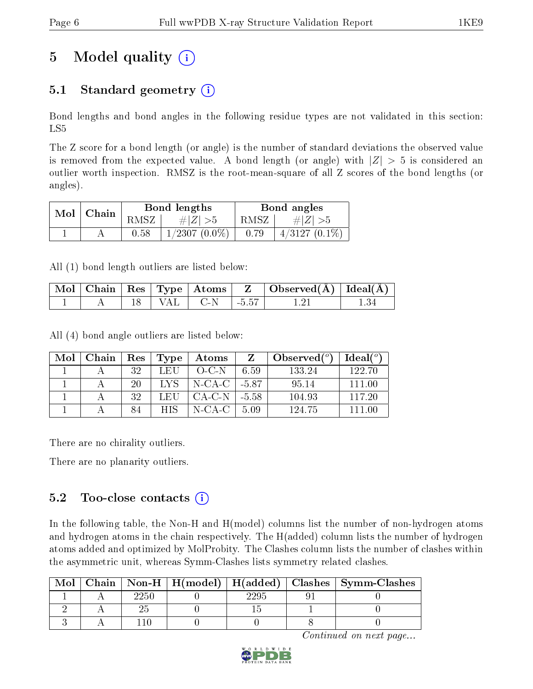# 5 Model quality  $(i)$

## 5.1 Standard geometry  $(i)$

Bond lengths and bond angles in the following residue types are not validated in this section: LS5

The Z score for a bond length (or angle) is the number of standard deviations the observed value is removed from the expected value. A bond length (or angle) with  $|Z| > 5$  is considered an outlier worth inspection. RMSZ is the root-mean-square of all Z scores of the bond lengths (or angles).

| Mol | Chain |      | Bond lengths    | Bond angles |                  |  |
|-----|-------|------|-----------------|-------------|------------------|--|
|     |       | RMSZ | # $ Z  > 5$     | RMSZ        | # $ Z  > 5$      |  |
|     |       | 0.58 | $1/2307(0.0\%)$ | 0.79        | $4/3127$ (0.1\%) |  |

All (1) bond length outliers are listed below:

|  |  |         |         | $\mid$ Mol $\mid$ Chain $\mid$ Res $\mid$ Type $\mid$ Atoms $\mid$ $\mid$ Z $\mid$ Observed(Å) $\mid$ Ideal(Å) $\mid$ |  |
|--|--|---------|---------|-----------------------------------------------------------------------------------------------------------------------|--|
|  |  | . I C-N | $-5.57$ |                                                                                                                       |  |

All (4) bond angle outliers are listed below:

| Mol | Chain | $\operatorname{Res}$ | Type       | Atoms          |      | Observed $(°)$ | Ideal <sup>(o)</sup> |
|-----|-------|----------------------|------------|----------------|------|----------------|----------------------|
|     |       | 32                   | LEU        | $O-C-N$        | 6.59 | 133.24         | 122.70               |
|     |       | 20                   | -LYS -     | N-CA-C   -5.87 |      | 95.14          | 111 00               |
|     |       | 32                   | LEU-       | CA-C-N   -5.58 |      | 104.93         | 117 20               |
|     |       | 84                   | <b>HIS</b> | N-CA-C         | 5.09 | 124.75         | 111 00               |

There are no chirality outliers.

There are no planarity outliers.

### 5.2 Too-close contacts  $(i)$

In the following table, the Non-H and H(model) columns list the number of non-hydrogen atoms and hydrogen atoms in the chain respectively. The H(added) column lists the number of hydrogen atoms added and optimized by MolProbity. The Clashes column lists the number of clashes within the asymmetric unit, whereas Symm-Clashes lists symmetry related clashes.

| Mol |      |  | Chain   Non-H   $H(model)$   $H(added)$   Clashes   Symm-Clashes |
|-----|------|--|------------------------------------------------------------------|
|     | 2250 |  |                                                                  |
|     |      |  |                                                                  |
|     |      |  |                                                                  |

Continued on next page...

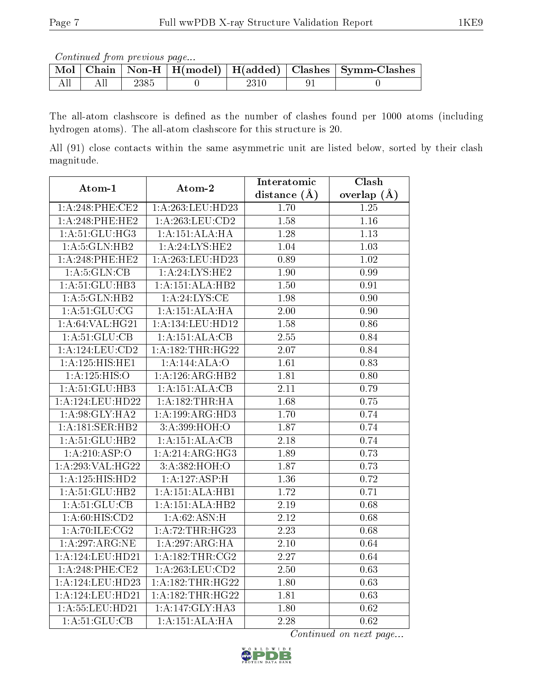Continued from previous page...

|  |      |  | Mol   Chain   Non-H   H(model)   H(added)   Clashes   Symm-Clashes |
|--|------|--|--------------------------------------------------------------------|
|  | 2385 |  |                                                                    |

The all-atom clashscore is defined as the number of clashes found per 1000 atoms (including hydrogen atoms). The all-atom clashscore for this structure is 20.

All (91) close contacts within the same asymmetric unit are listed below, sorted by their clash magnitude.

| Atom-1              | Atom-2            | Interatomic       | Clash             |
|---------------------|-------------------|-------------------|-------------------|
|                     |                   | distance $(A)$    | overlap $(A)$     |
| $1: A:248:$ PHE:CE2 | 1:A:263:LEU:HD23  | 1.70              | 1.25              |
| 1:A:248:PHE:HE2     | 1:A:263:LEU:CD2   | 1.58              | 1.16              |
| 1: A:51: GLU:HG3    | 1:A:151:ALA:HA    | $\overline{1.28}$ | 1.13              |
| 1: A:5: GLN: HB2    | 1: A:24: LYS: HE2 | 1.04              | $\overline{1.03}$ |
| $1: A:248:$ PHE:HE2 | 1:A:263:LEU:HD23  | 0.89              | 1.02              |
| 1: A:5: GLN: CB     | 1:A:24:LYS:HE2    | 1.90              | 0.99              |
| 1: A:51: GLU:HB3    | 1:A:151:ALA:HB2   | 1.50              | 0.91              |
| 1: A:5: GLN: HB2    | 1: A:24:LYS:CE    | 1.98              | 0.90              |
| 1: A:51: GLU:CG     | 1:A:151:ALA:HA    | 2.00              | 0.90              |
| 1: A:64:VAL:HG21    | 1:A:134:LEU:HD12  | 1.58              | $0.86\,$          |
| 1: A:51: GLU:CB     | 1:A:151:ALA:CB    | $\overline{2.55}$ | 0.84              |
| 1:A:124:LEU:CD2     | 1:A:182:THR:HG22  | 2.07              | 0.84              |
| 1:A:125:HIS:HE1     | 1:A:144:ALA:O     | 1.61              | 0.83              |
| 1:A:125:HIS:O       | 1:A:126:ARG:HB2   | 1.81              | 0.80              |
| 1:A:51:GLU:HB3      | 1:A:151:ALA:CB    | $2.11\,$          | 0.79              |
| 1:A:124:LEU:HD22    | 1:A:182:THR:HA    | 1.68              | 0.75              |
| 1: A:98: GLY: HA2   | 1:A:199:ARG:HD3   | 1.70              | 0.74              |
| 1:A:181:SER:HB2     | 3:A:399:HOH:O     | 1.87              | 0.74              |
| 1: A:51: GLU:HB2    | 1:A:151:ALA:CB    | 2.18              | 0.74              |
| 1:A:210:ASP:O       | 1:A:214:ARG:HG3   | 1.89              | 0.73              |
| 1:A:293:VAL:HG22    | 3: A: 382: HOH:O  | 1.87              | 0.73              |
| 1:A:125:HIS:HD2     | 1:A:127:ASP:H     | 1.36              | 0.72              |
| 1:A:51:GLU:HB2      | 1:A:151:ALA:HB1   | 1.72              | 0.71              |
| 1: A:51: GLU:CB     | 1:A:151:ALA:HB2   | 2.19              | 0.68              |
| 1: A:60:HIS:CD2     | 1: A:62: ASN:H    | $\overline{2.12}$ | 0.68              |
| 1:A:70:ILE:CG2      | 1:A:72:THR:HG23   | $\overline{2.23}$ | 0.68              |
| 1:A:297:ARG:NE      | 1:A:297:ARG:HA    | $\overline{2.10}$ | 0.64              |
| 1:A:124:LEU:HD21    | 1: A:182:THR:CG2  | $\overline{2.27}$ | $\overline{0.64}$ |
| $1: A:248:$ PHE:CE2 | 1: A:263:LEU:CD2  | 2.50              | 0.63              |
| 1:A:124:LEU:HD23    | 1:A:182:THR:HG22  | 1.80              | $\overline{0.63}$ |
| 1:A:124:LEU:HD21    | 1:A:182:THR:HG22  | 1.81              | 0.63              |
| 1:A:55:LEU:HD21     | 1:A:147:GLY:HA3   | 1.80              | 0.62              |
| 1: A:51: GLU:CB     | 1:A:151:ALA:H     | $\overline{2.28}$ | $\overline{0.62}$ |

Continued on next page...

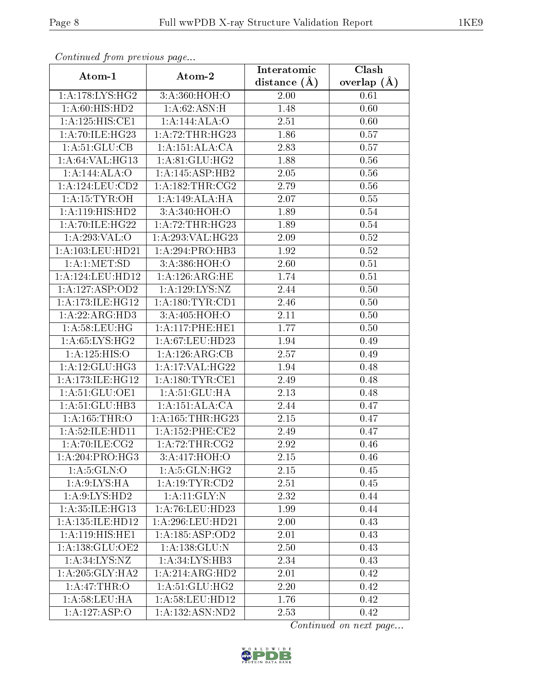| Continued from previous page |                              | Interatomic      | $\overline{\text{Clash}}$ |
|------------------------------|------------------------------|------------------|---------------------------|
| Atom-1                       | Atom-2                       | distance $(\AA)$ | overlap $(A)$             |
| 1: A:178: LYS: HG2           | 3:A:360:HOH:O                | 2.00             | 0.61                      |
| 1: A:60: HIS: HD2            | 1:A:62:ASN:H                 | 1.48             | 0.60                      |
| 1:A:125:HIS:CE1              | 1:A:144:ALA:O                | 2.51             | 0.60                      |
| 1: A:70: ILE: HG23           | 1:A:72:THR:HG23              | 1.86             | 0.57                      |
| 1:A:51:GLU:CB                | 1:A:151:ALA:CA               | 2.83             | 0.57                      |
| 1: A:64:VAL:HG13             | 1: A:81: GLU:HG2             | 1.88             | 0.56                      |
| 1:A:144:ALA:O                | 1:A:145:ASP:HB2              | 2.05             | 0.56                      |
| 1: A: 124: LEU: CD2          | 1: A: 182: THR: CG2          | 2.79             | 0.56                      |
| 1: A:15:TYR:OH               | 1:A:149:ALA:HA               | 2.07             | 0.55                      |
| 1:A:119:HIS:HD2              | 3:A:340:HOH:O                | 1.89             | 0.54                      |
| 1:A:70:ILE:HG22              | 1:A:72:THR:HG23              | 1.89             | 0.54                      |
| 1:A:293:VAL:O                | 1:A:293:VAL:HG23             | 2.09             | 0.52                      |
| 1:A:103:LEU:HD21             | 1:A:294:PRO:HB3              | 1.92             | 0.52                      |
| 1: A:1: MET:SD               | 3:A:386:HOH:O                | 2.60             | 0.51                      |
| 1:A:124:LEU:HD12             | 1:A:126:ARG:HE               | 1.74             | 0.51                      |
| 1: A: 127: ASP: OD2          | 1: A: 129: LYS: NZ           | 2.44             | 0.50                      |
| 1: A:173: ILE: HG12          | 1: A:180: TYR: CD1           | 2.46             | 0.50                      |
| 1:A:22:ARG:HD3               | 3:A:405:HOH:O                | 2.11             | 0.50                      |
| 1: A:58:LEU:HG               | 1: A:117: PHE:HE1            | 1.77             | 0.50                      |
| 1: A:65: LYS:HG2             | 1: A:67:LEU:HD23             | 1.94             | 0.49                      |
| 1:A:125:HIS:O                | 1: A:126: ARG:CB             | 2.57             | 0.49                      |
| 1: A:12: GLU:HG3             | 1: A:17: VAL:HG22            | 1.94             | 0.48                      |
| 1: A:173: ILE: HG12          | 1: A: 180: TYR: CE1          | 2.49             | 0.48                      |
| 1: A:51: GLU:OE1             | 1: A:51: GLU: HA             | 2.13             | 0.48                      |
| 1: A:51: GLU:HB3             | 1:A:151:ALA:CA               | 2.44             | 0.47                      |
| 1: A: 165: THR:O             | 1: A: 165: THR: HG23         | 2.15             | 0.47                      |
| 1: A:52: ILE: HD11           | 1: A: 152: PHE: CE2          | 2.49             | 0.47                      |
| $1:A:70:ILE: \overline{CG2}$ | $1:A:72:THR: \overline{CG2}$ | 2.92             | 0.46                      |
| 1:A:204:PRO:HG3              | 3:A:417:HOH:O                | 2.15             | 0.46                      |
| 1: A:5: GLN:O                | 1: A:5: GLN: HG2             | 2.15             | 0.45                      |
| 1: A:9: LYS: HA              | 1: A: 19: TYR: CD2           | 2.51             | 0.45                      |
| 1: A:9: LYS: HD2             | $1:$ A:11: $GLY:$ N          | 2.32             | 0.44                      |
| 1:A:35:ILE:HG13              | 1: A:76: LEU: HD23           | 1.99             | 0.44                      |
| 1:A:135:ILE:HD12             | 1: A:296:LEU:HD21            | 2.00             | 0.43                      |
| 1:A:119:HIS:HE1              | 1:A:185:ASP:OD2              | 2.01             | 0.43                      |
| 1:A:138:GLU:OE2              | 1: A: 138: GLU:N             | 2.50             | 0.43                      |
| 1: A:34: LYS:NZ              | 1:A:34:LYS:HB3               | 2.34             | 0.43                      |
| 1: A:205: GLY:HA2            | 1:A:214:ARG:HD2              | 2.01             | 0.42                      |
| 1: A:47:THR:O                | 1: A:51: GLU:HG2             | 2.20             | 0.42                      |
| 1: A:58:LEU:HA               | 1: A:58: LEU: HD12           | 1.76             | 0.42                      |
| 1:A:127:ASP:O                | 1:A:132:ASN:ND2              | 2.53             | 0.42                      |

Continued from previous page.

Continued on next page...

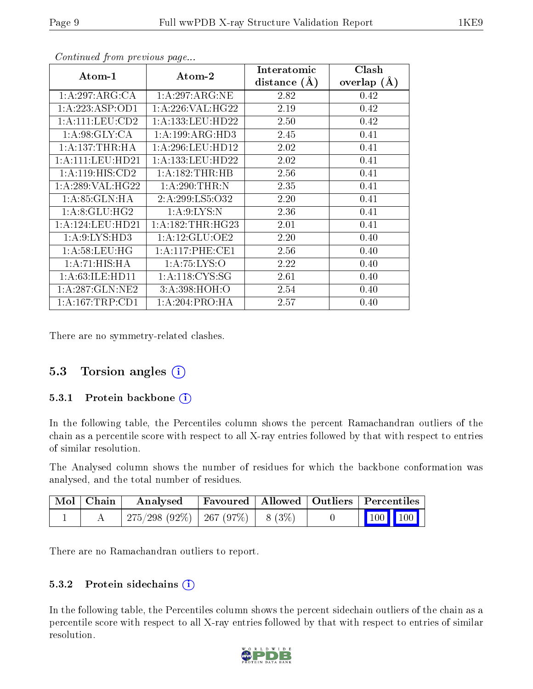| Atom-1               | Atom-2               | Interatomic    | Clash         |
|----------------------|----------------------|----------------|---------------|
|                      |                      | distance $(A)$ | overlap $(A)$ |
| 1: A:297: ARG:CA     | 1:A:297:ARG:NE       | 2.82           | 0.42          |
| 1: A: 223: ASP: OD1  | 1: A:226: VAL:HG22   | 2.19           | 0.42          |
| 1:A:111:LEU:CD2      | 1: A: 133: LEU: HD22 | 2.50           | 0.42          |
| 1: A:98: GLY: CA     | 1: A: 199: ARG: HD3  | 2.45           | 0.41          |
| 1: A: 137: THR: HA   | 1: A:296:LEU:HD12    | 2.02           | 0.41          |
| 1: A: 111: LEU: HD21 | 1: A: 133: LEU: HD22 | 2.02           | 0.41          |
| 1: A:119: HIS: CD2   | 1:A:182:THR:HB       | 2.56           | 0.41          |
| 1: A:289: VAL:HG22   | 1: A:290:THR:N       | 2.35           | 0.41          |
| 1:A:85:GLN:HA        | 2:A:299:LS5:O32      | 2.20           | 0.41          |
| 1: A:8: GLU: HG2     | 1: A:9: LYS:N        | 2.36           | 0.41          |
| 1:A:124:LEU:HD21     | 1: A: 182: THR: HG23 | 2.01           | 0.41          |
| 1: A:9: LYS: HD3     | 1: A:12: GLU:OE2     | 2.20           | 0.40          |
| 1: A:58:LEU:HG       | 1: A:117:PHE:CE1     | 2.56           | 0.40          |
| 1:A:71:HIS:HA        | 1: A:75: LYS:O       | 2.22           | 0.40          |
| 1: A:63: ILE: HD11   | 1: A:118: CYS:SG     | 2.61           | 0.40          |
| 1: A:287: GLN:NE2    | 3:A:398:HOH:O        | 2.54           | 0.40          |
| 1: A: 167: TRP: CD1  | 1: A:204:PRO:HA      | 2.57           | 0.40          |

Continued from previous page...

There are no symmetry-related clashes.

#### 5.3 Torsion angles (i)

#### 5.3.1 Protein backbone (i)

In the following table, the Percentiles column shows the percent Ramachandran outliers of the chain as a percentile score with respect to all X-ray entries followed by that with respect to entries of similar resolution.

The Analysed column shows the number of residues for which the backbone conformation was analysed, and the total number of residues.

| Mol Chain | Analysed                           |  | Favoured   Allowed   Outliers   Percentiles |  |                         |  |
|-----------|------------------------------------|--|---------------------------------------------|--|-------------------------|--|
|           | 275/298 (92%)   267 (97%)   8 (3%) |  |                                             |  | $\vert$ 100 100 $\vert$ |  |

There are no Ramachandran outliers to report.

#### 5.3.2 Protein sidechains  $(i)$

In the following table, the Percentiles column shows the percent sidechain outliers of the chain as a percentile score with respect to all X-ray entries followed by that with respect to entries of similar resolution.

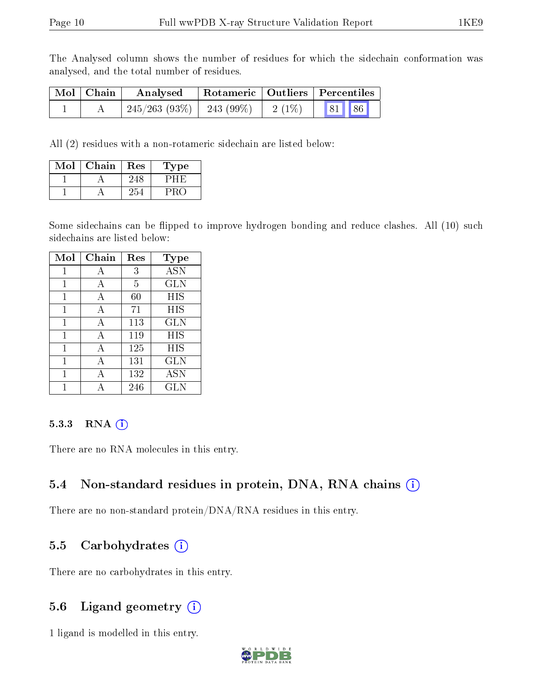The Analysed column shows the number of residues for which the sidechain conformation was analysed, and the total number of residues.

| Mol   Chain | Rotameric   Outliers   Percentiles<br>Analysed                                                                       |  |  |  |
|-------------|----------------------------------------------------------------------------------------------------------------------|--|--|--|
|             | $245/263$ (93\%) $\begin{array}{ c c c c c c c c c } \hline 243 & (99\%) & 2 & (1\%) & 81 & 86 \ \hline \end{array}$ |  |  |  |

All (2) residues with a non-rotameric sidechain are listed below:

| Mol | Chain | Res | <b>Type</b> |
|-----|-------|-----|-------------|
|     |       |     |             |
|     |       |     |             |

Some sidechains can be flipped to improve hydrogen bonding and reduce clashes. All (10) such sidechains are listed below:

| Mol | Chain | Res | Type              |
|-----|-------|-----|-------------------|
|     | А     | 3   | <b>ASN</b>        |
| 1   | А     | 5   | <b>GLN</b>        |
| 1   | А     | 60  | HIS               |
|     | А     | 71  | HIS               |
| 1   | A     | 113 | GLN               |
| 1   | A     | 119 | HIS               |
| 1   | А     | 125 | HIS               |
| 1   | А     | 131 | GLN               |
|     |       | 132 | $\overline{A}$ SN |
|     |       | 246 | GLN               |

#### 5.3.3 RNA (1)

There are no RNA molecules in this entry.

#### 5.4 Non-standard residues in protein, DNA, RNA chains (i)

There are no non-standard protein/DNA/RNA residues in this entry.

#### 5.5 Carbohydrates  $(i)$

There are no carbohydrates in this entry.

#### 5.6 Ligand geometry  $(i)$

1 ligand is modelled in this entry.

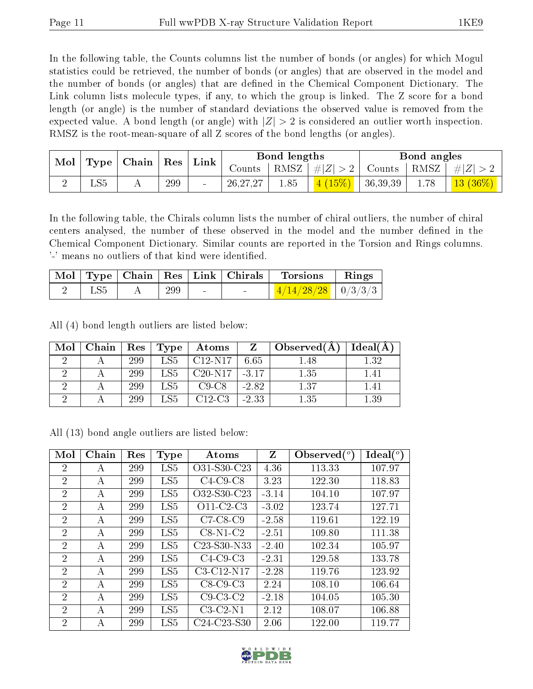In the following table, the Counts columns list the number of bonds (or angles) for which Mogul statistics could be retrieved, the number of bonds (or angles) that are observed in the model and the number of bonds (or angles) that are dened in the Chemical Component Dictionary. The Link column lists molecule types, if any, to which the group is linked. The Z score for a bond length (or angle) is the number of standard deviations the observed value is removed from the expected value. A bond length (or angle) with  $|Z| > 2$  is considered an outlier worth inspection. RMSZ is the root-mean-square of all Z scores of the bond lengths (or angles).

| Mol<br>Type <sub>1</sub> |     | Chain          |     |        | Res        | Link |               | Bond lengths |      | Bond angles |  |  |
|--------------------------|-----|----------------|-----|--------|------------|------|---------------|--------------|------|-------------|--|--|
|                          |     |                |     |        | Counts     | RMSZ | $\# Z $       | Counts       | RMSZ | $\# Z $     |  |  |
|                          | LS5 | $\overline{1}$ | 299 | $\sim$ | 26, 27, 27 | 1.85 | $(15\%)$<br>4 | 36,39,39     | 1.78 | $13(36\%)$  |  |  |

In the following table, the Chirals column lists the number of chiral outliers, the number of chiral centers analysed, the number of these observed in the model and the number defined in the Chemical Component Dictionary. Similar counts are reported in the Torsion and Rings columns. '-' means no outliers of that kind were identified.

|     |     |                          | $\mid$ Mol $\mid$ Type $\mid$ Chain $\mid$ Res $\mid$ Link $\mid$ Chirals $\mid$ Torsions | Rings |
|-----|-----|--------------------------|-------------------------------------------------------------------------------------------|-------|
| LS5 | 299 | <b>Contract Contract</b> | $\frac{4}{14}/\frac{28}{28}$   0/3/3/3                                                    |       |

All (4) bond length outliers are listed below:

| Mol | Chain | $\operatorname{Res}$ | Type            | Atoms                           | Z       | $\Box$ Observed(A) | Ideal(A) |
|-----|-------|----------------------|-----------------|---------------------------------|---------|--------------------|----------|
|     |       | 299                  | LS5             | $C12-N17$                       | 6.65    | 1.48               | 1.32     |
|     |       | 299                  | LS <sub>5</sub> | $C20-N17$                       | $-3.17$ | 1.35               | 1.41     |
|     |       | 299                  | $_{\rm LSS}$    | $C9-C8$                         | $-2.82$ | 1.37               | 1.41     |
|     |       | 299                  | LS <sub>5</sub> | C <sub>12</sub> -C <sub>3</sub> | $-2.33$ | 1.35               | $1.39\,$ |

All (13) bond angle outliers are listed below:

| Mol            | Chain | Res | <b>Type</b>     | Atoms                                             | Z       | Observed $(°)$ | Ideal $(^\circ)$ |
|----------------|-------|-----|-----------------|---------------------------------------------------|---------|----------------|------------------|
| $\overline{2}$ | А     | 299 | LS5             | O31-S30-C23                                       | 4.36    | 113.33         | 107.97           |
| $\overline{2}$ | А     | 299 | LS <sub>5</sub> | $C4-C9-C8$                                        | 3.23    | 122.30         | 118.83           |
| $\overline{2}$ | А     | 299 | LS <sub>5</sub> | O32-S30-C23                                       | $-3.14$ | 104.10         | 107.97           |
| $\overline{2}$ | А     | 299 | LS <sub>5</sub> | $O11-C2-C3$                                       | $-3.02$ | 123.74         | 127.71           |
| $\overline{2}$ | А     | 299 | LS5             | $C7-C8-C9$                                        | $-2.58$ | 119.61         | 122.19           |
| $\overline{2}$ | А     | 299 | LS <sub>5</sub> | $C8-N1-C2$                                        | $-2.51$ | 109.80         | 111.38           |
| $\overline{2}$ | А     | 299 | LS <sub>5</sub> | C <sub>23</sub> -S <sub>30</sub> -N <sub>33</sub> | $-2.40$ | 102.34         | 105.97           |
| $\overline{2}$ | А     | 299 | LS5             | $C4-C9-C3$                                        | $-2.31$ | 129.58         | 133.78           |
| $\overline{2}$ | А     | 299 | LS <sub>5</sub> | C3-C12-N17                                        | $-2.28$ | 119.76         | 123.92           |
| $\overline{2}$ | А     | 299 | LS5             | $C8-C9-C3$                                        | 2.24    | 108.10         | 106.64           |
| $\overline{2}$ | А     | 299 | LS5             | $C9-C3-C2$                                        | $-2.18$ | 104.05         | 105.30           |
| $\overline{2}$ | А     | 299 | LS5             | $C3-C2-N1$                                        | 2.12    | 108.07         | 106.88           |
| 2              | А     | 299 | LS <sub>5</sub> | C <sub>24</sub> -C <sub>23</sub> -S <sub>30</sub> | 2.06    | 122.00         | 119.77           |

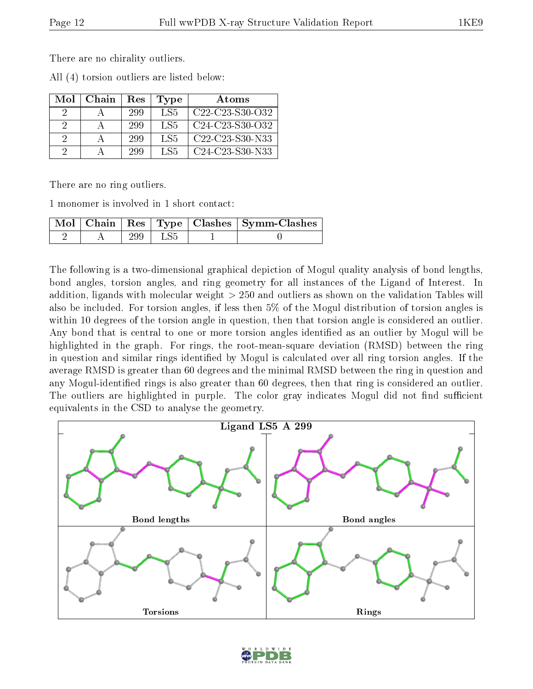There are no chirality outliers.

All (4) torsion outliers are listed below:

| Mol      | Chain | Res | Type | Atoms                                                              |
|----------|-------|-----|------|--------------------------------------------------------------------|
| 9        |       | 299 | LS5  | $C22-C23-S30-C32$                                                  |
| $\Omega$ |       | 299 | LS5  | $C24-C23-S30-C32$                                                  |
| 2        |       | 299 | LS5  | C <sub>22</sub> -C <sub>23</sub> -S <sub>30</sub> -N <sub>33</sub> |
| $\Omega$ |       | 299 | LS5  | C24-C23-S30-N33                                                    |

There are no ring outliers.

1 monomer is involved in 1 short contact:

|  |     |     | Mol   Chain   Res   Type   Clashes   Symm-Clashes |
|--|-----|-----|---------------------------------------------------|
|  | 299 | LS5 |                                                   |

The following is a two-dimensional graphical depiction of Mogul quality analysis of bond lengths, bond angles, torsion angles, and ring geometry for all instances of the Ligand of Interest. In addition, ligands with molecular weight > 250 and outliers as shown on the validation Tables will also be included. For torsion angles, if less then 5% of the Mogul distribution of torsion angles is within 10 degrees of the torsion angle in question, then that torsion angle is considered an outlier. Any bond that is central to one or more torsion angles identified as an outlier by Mogul will be highlighted in the graph. For rings, the root-mean-square deviation (RMSD) between the ring in question and similar rings identified by Mogul is calculated over all ring torsion angles. If the average RMSD is greater than 60 degrees and the minimal RMSD between the ring in question and any Mogul-identified rings is also greater than 60 degrees, then that ring is considered an outlier. The outliers are highlighted in purple. The color gray indicates Mogul did not find sufficient equivalents in the CSD to analyse the geometry.



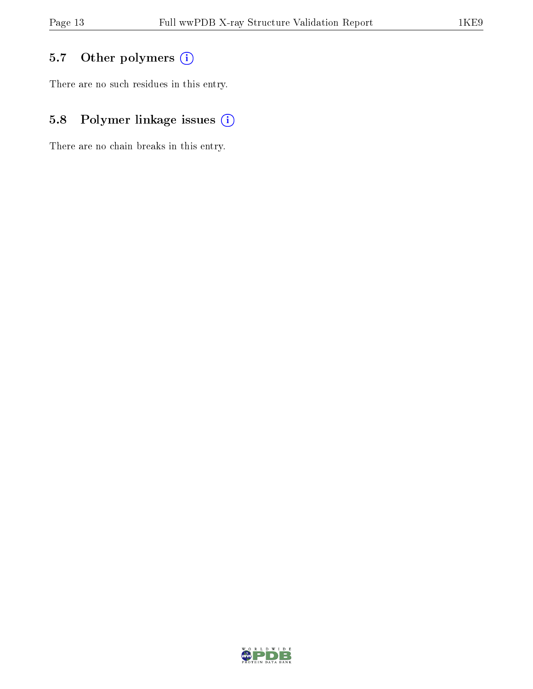## 5.7 [O](https://www.wwpdb.org/validation/2017/XrayValidationReportHelp#nonstandard_residues_and_ligands)ther polymers (i)

There are no such residues in this entry.

## 5.8 Polymer linkage issues (i)

There are no chain breaks in this entry.